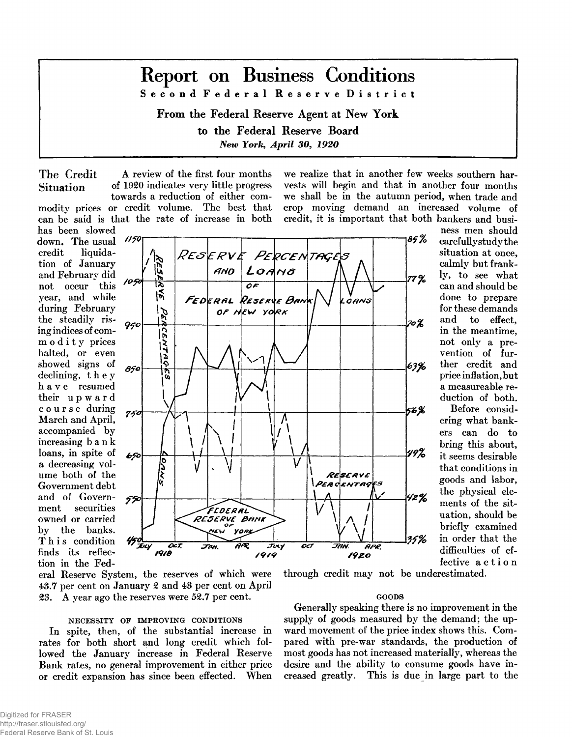# **Report on Business Conditions S e c o n d F e d e r a l R e s e r v e D i s t r i c t**

From the Federal Reserve Agent at New York to the Federal Reserve Board *New York, April 30, 1920* 

The Credit A review of the first four months Situation of 1920 indicates very little progress towards a reduction of either commodity prices or credit volume. The best that can be said is that the rate of increase in both we realize that in another few weeks southern harvests will begin and that in another four months we shall be in the autumn period, when trade and crop moving demand an increased volume of credit, it is important that both bankers and busi-

> ness men should carefully study the situation at once, calmly but frankly, to see what can and should be done to prepare for these demands and to effect, in the meantime, not only a prevention of further credit and price inflation, but a measureable reduction of both. Before considering what bankers can do to bring this about, it seems desirable that conditions in goods and labor, the physical elements of the situation, should be briefly examined in order that the difficulties of effective action





eral Reserve System, the reserves of which were 43.7 per cent on January 2 and 43 per cent on April 23. A year ago the reserves were 52.7 per cent.

## NECESSITY OF IMPROVING CONDITIONS

In spite, then, of the substantial increase in rates for both short and long credit which followed the January increase in Federal Reserve Bank rates, no general improvement in either price or credit expansion has since been effected. When

through credit may not be underestimated.

#### GOODS

Generally speaking there is no improvement in the supply of goods measured by the demand; the upward movement of the price index shows this. Compared with pre-war standards, the production of most goods has not increased materially, whereas the desire and the ability to consume goods have increased greatly. This is due in large part to the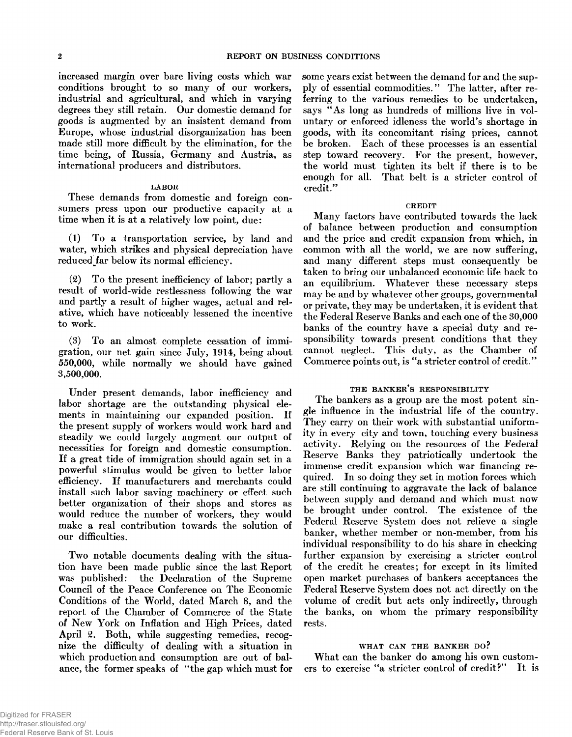increased margin over bare living costs which war conditions brought to so many of our workers, industrial and agricultural, and which in varying degrees they still retain. Our domestic demand for goods is augmented by an insistent demand from Europe, whose industrial disorganization has been made still more difficult by the elimination, for the time being, of Russia, Germany and Austria, as international producers and distributors.

#### LABOR

These demands from domestic and foreign consumers press upon our productive capacity at a time when it is at a relatively low point, due:

 $(1)$  To a transportation service, by land and water, which strikes and physical depreciation have reduced far below its normal efficiency.

 $(2)$  To the present inefficiency of labor; partly a result of world-wide restlessness following the war and partly a result of higher wages, actual and relative, which have noticeably lessened the incentive to work.

 $(3)$  To an almost complete cessation of immigration, our net gain since July, 1914, being about 550.000, while norm ally we should have gained 3.500.000.

Under present demands, labor inefficiency and labor shortage are the outstanding physical elements in maintaining our expanded position. If the present supply of workers would work hard and steadily we could largely augment our output of necessities for foreign and domestic consumption. If a great tide of immigration should again set in a pow erful stimulus w ould be given to better labor efficiency. If manufacturers and merchants could install such labor saving machinery or effect such better organization of their shops and stores as would reduce the number of workers, they would make a real contribution towards the solution of our difficulties.

Two notable documents dealing with the situation have been made public since the last Report was published: the Declaration of the Supreme Council of the Peace Conference on The Economic Conditions of the World, dated March 8, and the report of the Chamber of Commerce of the State of New York on Inflation and High Prices, dated April 2. Both, while suggesting remedies, recognize the difficulty of dealing with a situation in which production and consumption are out of balance, the former speaks of "the gap which must for some years exist between the demand for and the supply of essential commodities." The latter, after referring to the various remedies to be undertaken, says "As long as hundreds of millions live in voluntary or enforced idleness the world's shortage in goods, with its concomitant rising prices, cannot be broken. Each of these processes is an essential step toward recovery. For the present, however, the world must tighten its belt if there is to be enough for all. That belt is a stricter control of credit."

#### **CREDIT**

Many factors have contributed towards the lack of balance between production and consumption and the price and credit expansion from which, in common with all the world, we are now suffering, and many different steps must consequently be taken to bring our unbalanced economic life back to an equilibrium. Whatever these necessary steps may be and by whatever other groups, governmental or private, they may be undertaken, it is evident that the Federal Reserve Banks and each one of the 30,000 banks of the country have a special duty and responsibility towards present conditions that they cannot neglect. This duty, as the Chamber of Commerce points out, is "a stricter control of credit."

#### THE BANKER'S RESPONSIBILITY

The bankers as a group are the most potent single influence in the industrial life of the country. They carry on their work with substantial uniformity in every city and town, touching every business activity. Relying on the resources of the Federal Reserve Banks they patriotically undertook the immense credit expansion which war financing required. In so doing they set in motion forces which are still continuing to aggravate the lack of balance between supply and demand and which must now be brought under control. The existence of the Federal Reserve System does not relieve a single banker, whether member or non-member, from his individual responsibility to do his share in checking further expansion by exercising a stricter control of the credit he creates; for except in its limited open market purchases of bankers acceptances the Federal Reserve System does not act directly on the volume of credit but acts only indirectly, through the banks, on whom the primary responsibility rests.

#### WHAT CAN THE BANKER DO?

What can the banker do among his own customers to exercise "a stricter control of credit?" It is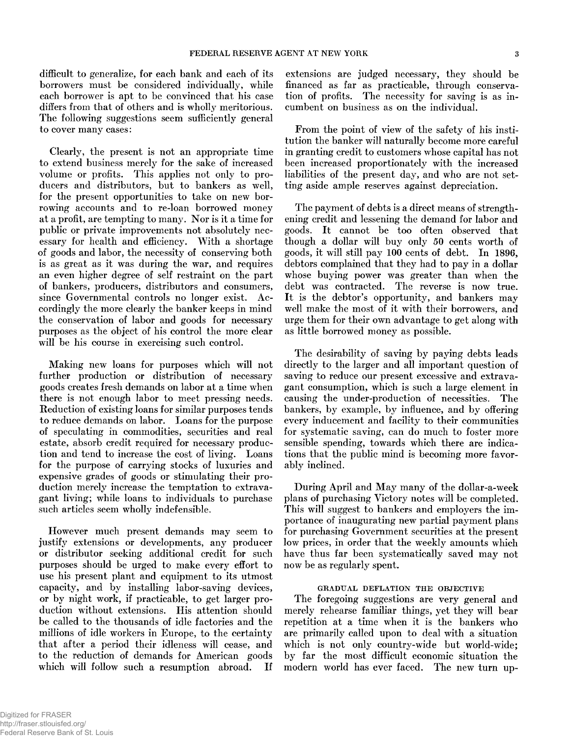difficult to generalize, for each bank and each of its borrowers must be considered individually, while each borrower is apt to be convinced that his case differs from that of others and is wholly meritorious. The following suggestions seem sufficiently general to cover many cases:

Clearly, the present is not an appropriate time to extend business merely for the sake of increased volume or profits. This applies not only to producers and distributors, but to bankers as well, for the present opportunities to take on new borrowing accounts and to re-loan borrowed money at a profit, are tempting to many. Nor is it a time for public or private improvements not absolutely necessary for health and efficiency. With a shortage of goods and labor, the necessity of conserving both is as great as it was during the war, and requires an even higher degree of self restraint on the part of bankers, producers, distributors and consumers, since Governmental controls no longer exist. Accordingly the more clearly the banker keeps in mind the conservation of labor and goods for necessary purposes as the object of his control the more clear will be his course in exercising such control.

Making new loans for purposes which will not further production or distribution of necessary goods creates fresh demands on labor at a time when there is not enough labor to meet pressing needs. Reduction of existing loans for similar purposes tends to reduce demands on labor. Loans for the purpose of speculating in commodities, securities and real estate, absorb credit required for necessary production and tend to increase the cost of living. Loans for the purpose of carrying stocks of luxuries and expensive grades of goods or stimulating their production merely increase the temptation to extravagant living; while loans to individuals to purchase such articles seem wholly indefensible.

However much present demands may seem to justify extensions or developments, any producer or distributor seeking additional credit for such purposes should be urged to make every effort to use his present plant and equipment to its utmost capacity, and by installing labor-saving devices, or by night work, if practicable, to get larger production without extensions. His attention should be called to the thousands of idle factories and the millions of idle workers in Europe, to the certainty that after a period their idleness will cease, and to the reduction of demands for American goods which will follow such a resumption abroad. If

extensions are judged necessary, they should be financed as far as practicable, through conservation of profits. The necessity for saving is as incum bent on business as on the individual.

From the point of view of the safety of his institution the banker will naturally become more careful in granting credit to customers whose capital has not been increased proportionately with the increased liabilities of the present day, and who are not setting aside am ple reserves against depreciation.

The payment of debts is a direct means of strengthening credit and lessening the demand for labor and goods. It cannot be too often observed that though a dollar will buy only 50 cents worth of goods, it will still pay 100 cents of debt. In 1896, debtors complained that they had to pay in a dollar whose buying power was greater than when the debt was contracted. The reverse is now true. It is the debtor's opportunity, and bankers may well make the most of it with their borrowers, and urge them for their own advantage to get along with as little borrowed money as possible.

The desirability of saving by paying debts leads directly to the larger and all important question of saving to reduce our present excessive and extravagant consumption, which is such a large element in causing the under-production of necessities. The bankers, by example, by influence, and by offering every inducement and facility to their communities for systematic saving, can do much to foster more sensible spending, towards which there are indications that the public mind is becoming more favorably inclined.

During April and May many of the dollar-a-week plans of purchasing Victory notes will be completed. This will suggest to bankers and employers the importance of inaugurating new partial payment plans for purchasing Government securities at the present low prices, in order that the weekly amounts which have thus far been systematically saved may not now be as regularly spent.

#### GRADUAL DEFLATION THE OBJECTIVE

The foregoing suggestions are very general and merely rehearse familiar things, yet they will bear repetition at a time when it is the bankers who are primarily called upon to deal with a situation which is not only country-wide but world-wide; by far the most difficult economic situation the modern world has ever faced. The new turn up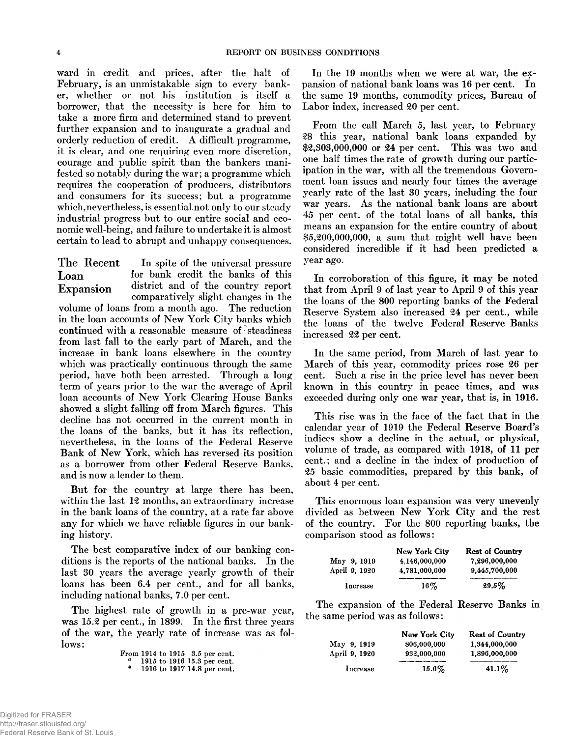ward in credit and prices, after the halt of February, is an unmistakable sign to every banker, whether or not his institution is itself a borrow er, that the necessity is here for him to take a more firm and determined stand to prevent further expansion and to inaugurate a gradual and orderly reduction of credit. A difficult programme, it is clear, and one requiring even more discretion, courage and public spirit than the bankers manifested so notably during the war; a programme which requires the cooperation of producers, distributors and consumers for its success; but a programme which, nevertheless, is essential not only to our steady industrial progress but to our entire social and economic well-being, and failure to undertake it is almost certain to lead to abrupt and unhappy consequences.

The Recent In spite of the universal pressure Loan for bank credit the banks of this Expansion district and of the country report *\** com paratively slight changes in the volume of loans from a month ago. The reduction in the loan accounts of New York City banks which continued with a reasonable measure of steadiness from last fall to the early part of March, and the increase in bank loans elsewhere in the country which was practically continuous through the same period, have both been arrested. Through a long term of years prior to the war the average of April loan accounts of New York Clearing House Banks showed a slight falling off from March figures. This decline has not occurred in the current month in the loans of the banks, but it has its reflection, nevertheless, in the loans of the Federal Reserve Bank of New York, which has reversed its position as a borrower from other Federal Reserve Banks, and is now a lender to them.

But for the country at large there has been, within the last 12 months, an extraordinary increase in the bank loans of the country, at a rate far above any for which we have reliable figures in our banking history.

The best comparative index of our banking conditions is the reports of the national banks. In the last 30 years the average yearly growth of their loans has been 6.4 per cent., and for all banks, including national banks, 7.0 per cent.

The highest rate of growth in a pre-war year, was 15.2 per cent., in 1899. In the first three years of the war, the yearly rate of increase was as follows:

| From 1914 to 1915 $3.5$ per cent. |  |  |                             |
|-----------------------------------|--|--|-----------------------------|
|                                   |  |  | 1915 to 1916 15.3 per cent. |
| u                                 |  |  | 1916 to 1917 14.8 per cent. |

In the 19 months when we were at war, the expansion of national bank loans was 16 per cent. In the same 19 months, commodity prices, Bureau of Labor index, increased 20 per cent.

From the call March 5, last year, to February 28 this year, national bank loans expanded by \$2,303,000,000 or 24 per cent. This was two and one half times the rate of growth during our participation in the war, with all the tremendous Government loan issues and nearly four times the average yearly rate of the last 30 years, including the four war years. As the national bank loans are about 45 per cent, of the total loans of all banks, this means an expansion for the entire country of about  $$5,200,000,000$ , a sum that might well have been considered incredible if it had been predicted a year ago.

In corroboration of this figure, it may be noted that from April 9 of last year to April 9 of this year the loans of the 800 reporting banks of the Federal Reserve System also increased 24 per cent., while the loans of the twelve Federal Reserve Banks increased 22 per cent.

In the same period, from March of last year to March of this year, commodity prices rose 26 per cent. Such a rise in the price level has never been known in this country in peace times, and was exceeded during only one war year, that is, in 1916.

This rise was in the face of the fact that in the calendar year of 1919 the Federal Reserve Board's indices show a decline in the actual, or physical, volume of trade, as compared with 1918, of 11 per cent.; and a decline in the index of production of 25 basic commodities, prepared by this bank, of about 4 per cent.

This enormous loan expansion was very unevenly divided as between New York City and the rest of the country. For the 800 reporting banks, the comparison stood as follows:

|               | <b>New York City</b> | <b>Rest of Country</b> |
|---------------|----------------------|------------------------|
| May 9, 1919   | 4.146,000,000        | 7.296.000.000          |
| April 9, 1920 | 4,781,000,000        | 9.445,700,000          |
| Increase      | $16\%$               | $29.5\%$               |

The expansion of the Federal Reserve Banks in the same period was as follows:

|               | <b>New York City</b> | <b>Rest of Country</b> |
|---------------|----------------------|------------------------|
| May 9, 1919   | 806,000,000          | 1,344,000,000          |
| April 9, 1920 | 932,000,000          | 1.896.000.000          |
| Increase      | $15.6\%$             | $41.1\%$               |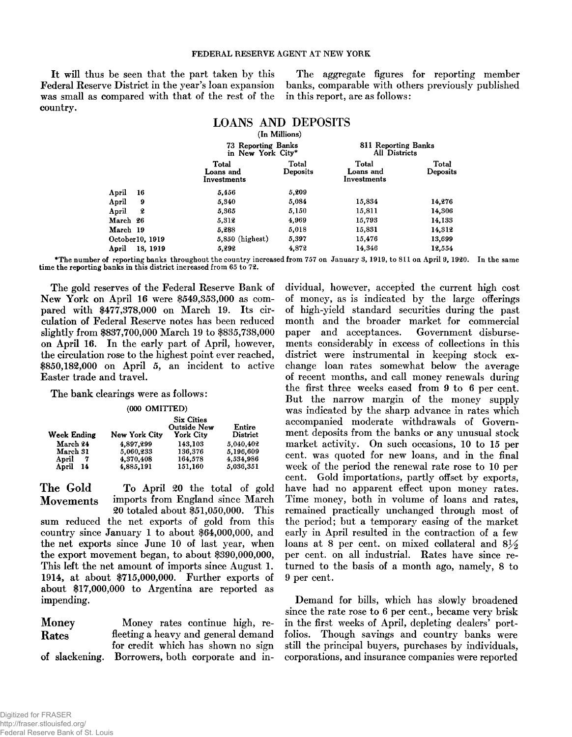#### **FEDERAL RESERVE AGENT AT NEW YORK**

Federal Reserve District in the year's loan expansion banks, comparable with others previously published was small as compared with that of the rest of the in this report, are as follows: country.

It will thus be seen that the part taken by this The aggregate figures for reporting member

|                   | <b>LOANS AND DEPOSITS</b>               | (In Millions)            |                                             |                          |  |
|-------------------|-----------------------------------------|--------------------------|---------------------------------------------|--------------------------|--|
|                   | 73 Reporting Banks<br>in New York City* |                          | 811 Reporting Banks<br><b>All Districts</b> |                          |  |
|                   | Total<br>Loans and<br>Investments       | <b>Total</b><br>Deposits | Total<br>Loans and<br>Investments           | Total<br><b>Deposits</b> |  |
| April<br>16       | 5.456                                   | 5,209                    |                                             |                          |  |
| April<br>9        | 5.340                                   | 5,084                    | 15,834                                      | 14,276                   |  |
| 2<br>April        | 5,365                                   | 5,150                    | 15,811                                      | 14,306                   |  |
| March 26          | 5,312                                   | 4,969                    | 15,793                                      | 14.133                   |  |
| March 19          | 5,288                                   | 5,018                    | 15,831                                      | 14,312                   |  |
| October 10, 1919  | $5,850$ (highest)                       | 5,397                    | 15,476                                      | 13,699                   |  |
| April<br>18, 1919 | 5,292                                   | 4,872                    | 14,346                                      | 12,554                   |  |

\*The number of reporting banks throughout the country increased from 757 on January 3, 1919, to 811 on April 9, 1920. In the same time the reporting banks in this district increased from 65 to 72.

The gold reserves of the Federal Reserve Bank of New York on April 16 were  $$549,353,000$  as compared with \$477,378,000 on March 19. Its circulation of Federal Reserve notes has been reduced slightly from \$837,700,000 March 19 to \$835,738,000 on April 16. In the early part of April, however, the circulation rose to the highest point ever reached,  $$850,182,000$  on April 5, an incident to active Easter trade and travel.

### The bank clearings were as follows:

#### (000 OMITTED)

| Week Ending  | New York City | <b>Six Cities</b><br><b>Outside New</b><br><b>York City</b> | Entire<br>District |
|--------------|---------------|-------------------------------------------------------------|--------------------|
| March 24     | 4.897.299     | 143.103                                                     | 5.040.402          |
| March 31     | 5,060,233     | 136,376                                                     | 5,196,609          |
| April<br>7   | 4,370,408     | 164.578                                                     | 4.534.986          |
| April<br>-14 | 4,885,191     | 151,160                                                     | 5,036,351          |

The Gold To April 20 the total of gold Movements imports from England since March 20 totaled about \$51,050,000. This sum reduced the net exports of gold from this country since January 1 to about  $$64,000,000$ , and the net exports since June 10 of last year, when the export movement began, to about  $$390,000,000$ , This left the net amount of imports since August 1. 1914, at about \$715,000,000. Further exports of about \$17,000,000 to Argentina are reported as im pending.

| Money | Money rates continue high, re-                   |  |
|-------|--------------------------------------------------|--|
| Rates | fleeting a heavy and general demand              |  |
|       | for credit which has shown no sign               |  |
|       | of slackening. Borrowers, both corporate and in- |  |

dividual, however, accepted the current high cost of money, as is indicated by the large offerings of high-yield standard securities during the past month and the broader market for commercial paper and acceptances. Government disbursements considerably in excess of collections in this district were instrumental in keeping stock exchange loan rates somewhat below the average of recent months, and call money renewals during the first three weeks eased from 9 to 6 per cent. But the narrow margin of the money supply was indicated by the sharp advance in rates which accompanied moderate withdrawals of Government deposits from the banks or any unusual stock market activity. On such occasions, 10 to 15 per cent, was quoted for new loans, and in the final week of the period the renewal rate rose to 10 per cent. Gold importations, partly offset by exports, have had no apparent effect upon money rates. Time money, both in volume of loans and rates, remained practically unchanged through most of the period; but a temporary easing of the market early in April resulted in the contraction of a few loans at 8 per cent, on mixed collateral and  $8\frac{1}{2}$ per cent, on all industrial. Rates have since returned to the basis of a month ago, namely, 8 to 9 per cent.

Demand for bills, which has slowly broadened since the rate rose to 6 per cent., became very brisk in the first weeks of April, depleting dealers' portfolios. Though savings and country banks were still the principal buyers, purchases by individuals, corporations, and insurance companies were reported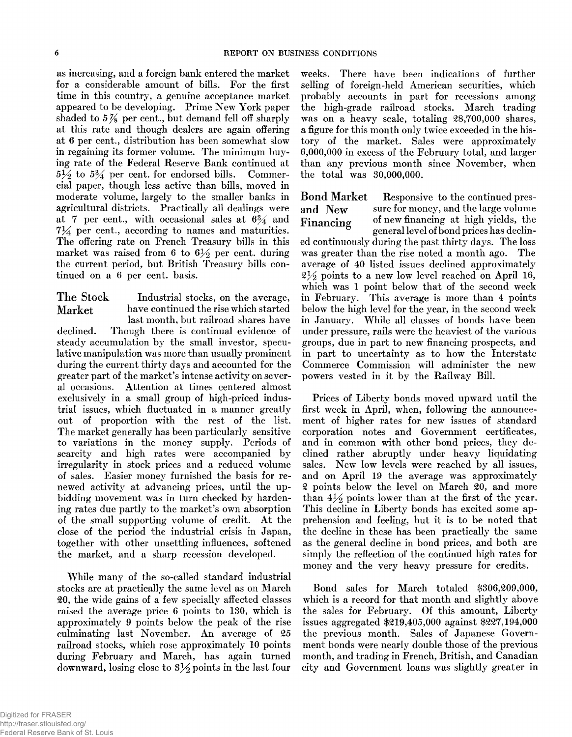as increasing, and a foreign bank entered the market for a considerable amount of bills. For the first time in this country, a genuine acceptance market appeared to be developing. Prime New York paper shaded to  $5\frac{7}{8}$  per cent., but demand fell off sharply at this rate and though dealers are again offering at 6 per cent., distribution has been somewhat slow in regaining its former volume. The minimum buying rate of the Federal Reserve Bank continued at  $5\frac{1}{2}$  to  $5\frac{3}{4}$  per cent, for endorsed bills. Commercial paper, though less active than bills, moved in moderate volume, largely to the smaller banks in agricultural districts. Practically all dealings were at 7 per cent., with occasional sales at  $6\frac{3}{4}$  and  $7\frac{1}{4}$  per cent., according to names and maturities. The offering rate on French Treasury bills in this market was raised from 6 to  $6\frac{1}{2}$  per cent, during the current period, but British Treasury bills continued on a 6 per cent, basis.

The Stock Industrial stocks, on the average, Market have continued the rise which started last month, but railroad shares have declined. Though there is continual evidence of steady accumulation by the small investor, speculative manipulation was more than usually prominent during the current thirty days and accounted for the greater part of the market's intense activity on several occasions. Attention at times centered almost exclusively in a small group of high-priced industrial issues, which fluctuated in a manner greatly out of proportion with the rest of the list. The market generally has been particularly sensitive to variations in the money supply. Periods of scarcity and high rates were accompanied by irregularity in stock prices and a reduced volume of sales. Easier m oney furnished the basis for renewed activity at advancing prices, until the upbidding movement was in turn checked by hardening rates due partly to the market's own absorption of the small supporting volume of credit. At the close of the period the industrial crisis in Japan, together with other unsettling influences, softened the market, and a sharp recession developed.

While many of the so-called standard industrial stocks are at practically the same level as on March 20, the wide gains of a few specially affected classes raised the average price 6 points to 130, which is approxim ately 9 points below the peak of the rise culminating last November. An average of 25 railroad stocks, which rose approximately 10 points during February and March, has again turned downward, losing close to  $3\frac{1}{2}$  points in the last four

weeks. There have been indications of further selling of foreign-held American securities, which probably accounts in part for recessions among the high-grade railroad stocks. March trading was on a heavy scale, totaling 28,700,000 shares, a figure for this month only twice exceeded in the history of the market. Sales were approximately 6,000,000 in excess of the February total, and larger than any previous month since November, when the total was 30,000,000.

Bond Market Responsive to the continued presand New sure for money, and the large volume Financing of new financing at high yields, the general level of bond prices has declin-

ed continuously during the past thirty days. The loss was greater than the rise noted a month ago. The average of 40 listed issues declined approximately  $2\frac{1}{2}$  points to a new low level reached on April 16, which was 1 point below that of the second week in February. This average is more than 4 points below the high level for the year, in the second week in January. While all classes of bonds have been under pressure, rails were the heaviest of the various groups, due in part to new financing prospects, and in part to uncertainty as to how the Interstate Commerce Commission will administer the new powers vested in it by the Railway Bill.

Prices of Liberty bonds moved upward until the first week in April, when, following the announcement of higher rates for new issues of standard corporation notes and Government certificates, and in common with other bond prices, they declined rather abruptly under heavy liquidating sales. New low levels were reached by all issues, and on April 19 the average was approximately 2 points below the level on March 20, and more than  $4\frac{1}{2}$  points lower than at the first of the year. This decline in Liberty bonds has excited some apprehension and feeling, but it is to be noted that the decline in these has been practically the same as the general decline in bond prices, and both are simply the reflection of the continued high rates for money and the very heavy pressure for credits.

Bond sales for March totaled \$306,209,000, which is a record for that month and slightly above the sales for February. Of this amount, Liberty issues aggregated \$219,405,000 against \$227,194,000 the previous month. Sales of Japanese Government bonds were nearly double those of the previous month, and trading in French, British, and Canadian city and Government loans was slightly greater in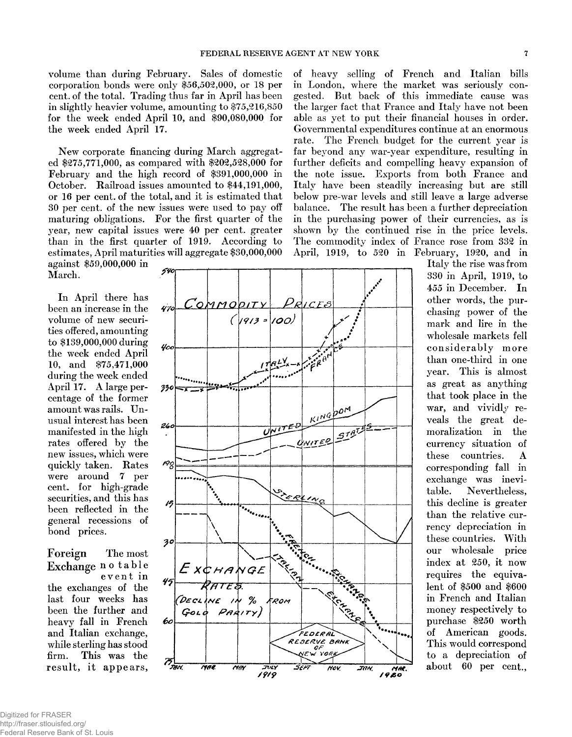volume than during February. Sales of domestic corporation bonds were only \$56,502,000, or 18 per cent. of the total. Trading thus far in April has been in slightly heavier volume, amounting to  $$75,216,850$ for the week ended April 10, and  $$90,080,000$  for the week ended April 17.

New corporate financing during March aggregated \$275,771,000, as compared with \$202,528,000 for February and the high record of \$391,000,000 in October. Railroad issues amounted to \$44,191,000, or 16 per cent, of the total, and it is estim ated that 30 per cent, of the new issues were used to pay off maturing obligations. For the first quarter of the year, new capital issues were 40 per cent, greater than in the first quarter of 1919. According to estimates, April maturities will aggregate \$30,000,000

*0*

against \$59,000,000 in March.

In April there has been an increase in the volume of new securities offered, am ounting to \$139,000,000 during the week ended April 10, and \$75,471,000 during the week ended April 17. A large percentage of the former amount was rails. Unusual interest has been manifested in the high rates offered by the new issues, which were quickly taken. Rates were around 7 per cent, for high-grade securities, and this has been reflected in the general recessions of bond prices.

Foreign The most Exchange notable event in the exchanges of the last four weeks has been the further and heavy fall in French and Italian exchange, while sterling has stood firm. This was the result, it appears,

of heavy selling of French and Italian bills in London, where the market was seriously congested. But back of this immediate cause was the larger fact that France and Italy have not been able as yet to put their financial houses in order. Governmental expenditures continue at an enormous rate. The French budget for the current year is far beyond any war-year expenditure, resulting in further deficits and compelling heavy expansion of the note issue. Exports from both France and Italy have been steadily increasing but are still below pre-war levels and still leave a large adverse balance. The result has been a further depreciation in the purchasing power of their currencies, as is shown by the continued rise in the price levels. The commodity index of France rose from 332 in April, 1919, to 520 in February, 1920, and in

*MM\* / 9 # o*

Italy the rise was from 330 in April, 1919, to 455 in December. In other words, the purchasing power of the mark and lire in the wholesale markets fell considerably more than one-third in one year. This is almost as great as anything that took place in the war, and vividly reveals the great demoralization in the currency situation of these countries. A corresponding fall in exchange was inevitable. Nevertheless, this decline is greater than the relative currency depreciation in these countries. With our wholesale price index at 250, it now requires the equivalent of \$500 and \$600 in French and Italian money respectively to purchase \$250 worth of American goods. This would correspond to a depreciation of about 60 per cent.,



*/ ? / ?*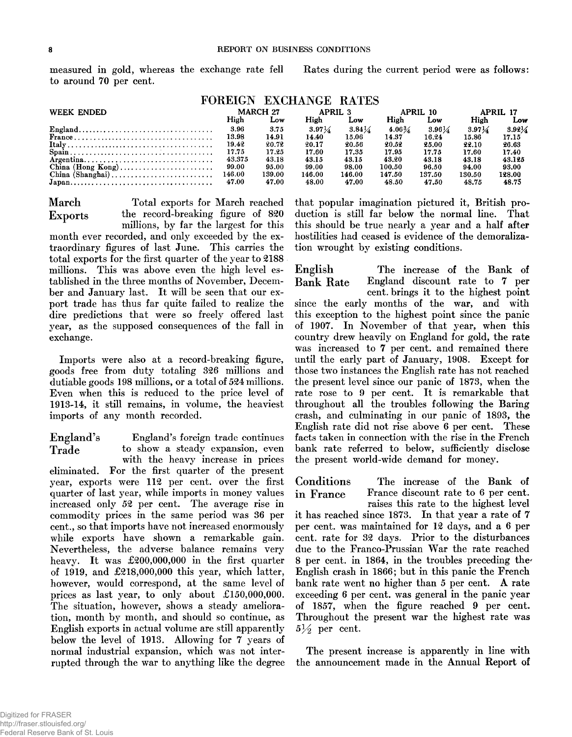measured in gold, whereas the exchange rate fell to around 70 per cent.

Rates during the current period were as follows:

| FOREIGN EXCHANGE RATES |
|------------------------|
|------------------------|

| <b>WEEK ENDED</b> |        | MARCH 27 | APRIL 3  |          |          | APRIL 10 |          | APRIL 17 |
|-------------------|--------|----------|----------|----------|----------|----------|----------|----------|
|                   | High   | Low      | High     | Low      | High     | Low      | High     | Low      |
| England           | 3.96   | 3.75     | $3.97\%$ | $3.84\%$ | $4.06\%$ | $3.96\%$ | $3.97\%$ | $3.92\%$ |
|                   | 13.98  | 14.91    | 14.40    | 15.06    | 14.37    | 16.24    | 15.86    | 17.15    |
|                   | 19.42  | 20.72    | 20.17    | 20.56    | 20.52    | 25.00    | 22.10    | 26.63    |
|                   | 17.75  | 17.25    | 17.60    | 17.35    | 17.95    | 17.75    | 17.60    | 17.40    |
|                   | 43.375 | 43.18    | 43.15    | 43.15    | 43.20    | 43.18    | 43.18    | 43.125   |
|                   | 99.00  | 95.00    | 99.00    | 98.00    | 100.50   | 96.50    | 94.00    | 93.00    |
|                   | 146.00 | 139.00   | 146.00   | 146.00   | 147.50   | 137.50   | 130.50   | 128.00   |
|                   | 47.00  | 47.00    | 48.00    | 47.00    | 48.50    | 47.50    | 48.75    | 48.75    |

March Total exports for March reached Exports the record-breaking figure of 820

millions, by far the largest for this month ever recorded, and only exceeded by the extraordinary figures of last June. This carries the total exports for the first quarter of the year to 2188 millions. This was above even the high level established in the three months of November, December and January last. It will be seen that our export trade has thus far quite failed to realize the dire predictions that were so freely offered last year, as the supposed consequences of the fall in exchange.

Im ports were also at a record-breaking figure, goods free from duty totaling 326 millions and dutiable goods 198 millions, or a total of 524 millions. Even when this is reduced to the price level of 1913-14, it still remains, in volume, the heaviest imports of any month recorded.

England's England's foreign trade continues Trade to show a steady expansion, even with the heavy increase in prices eliminated. For the first quarter of the present year, exports were 112 per cent, over the first quarter of last year, while imports in money values increased only 52 per cent. The average rise in commodity prices in the same period was 36 per cent., so that imports have not increased enormously while exports have shown a remarkable gain. Nevertheless, the adverse balance remains very heavy. It was  $£200,000,000$  in the first quarter of 1919, and  $£218,000,000$  this year, which latter, however, would correspond, at the same level of prices as last year, to only about  $£150,000,000$ . The situation, however, shows a steady amelioration, month by month, and should so continue, as English exports in actual volume are still apparently below the level of 1913. Allowing for 7 years of normal industrial expansion, which was not interrupted through the war to anything like the degree

that popular imagination pictured it, British production is still far below the normal line. That this should be true nearly a year and a half after hostilities had ceased is evidence of the demoralization wrought by existing conditions.

English The increase of the Bank of Bank Rate England discount rate to 7 per cent. brings it to the highest point since the early months of the war, and with this exception to the highest point since the panic of 1907. In November of that year, when this country drew heavily on England for gold, the rate was increased to 7 per cent. and remained there until the early part of January, 1908. Except for those two instances the English rate has not reached the present level since our panic of 1873, when the rate rose to 9 per cent. It is remarkable that throughout all the troubles following the Baring crash, and culminating in our panic of 1893, the English rate did not rise above 6 per cent. These facts taken in connection with the rise in the French bank rate referred to below, sufficiently disclose the present world-wide demand for money.

Conditions The increase of the Bank of in France France discount rate to 6 per cent. raises this rate to the highest level it has reached since 1873. In that year a rate of 7 per cent. was maintained for 12 days, and a 6 per cent. rate for 32 days. Prior to the disturbances due to the Franco-Prussian War the rate reached 8 per cent. in 1864, in the troubles preceding the English crash in 1866; but in this panic the French bank rate went no higher than 5 per cent. A rate exceeding 6 per cent. was general in the panic year of 1857, when the figure reached 9 per cent. Throughout the present war the highest rate was  $5\frac{1}{2}$  per cent.

The present increase is apparently in line with the announcement made in the Annual Report of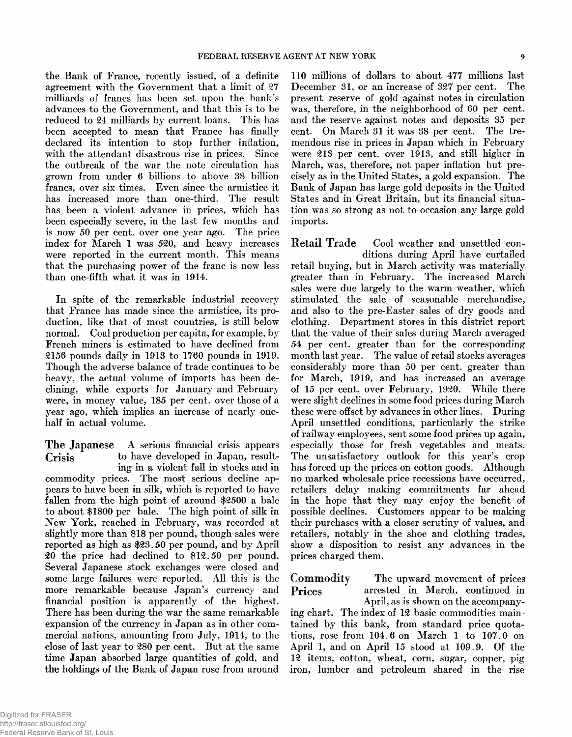the Bank of France, recently issued, of a definite agreement with the Government that a limit of 27 milliards of francs has been set upon the bank's advances to the Government, and that this is to be reduced to 24 milliards by current loans. This has been accepted to mean that France has finally declared its intention to stop further inflation, with the attendant disastrous rise in prices. Since the outbreak of the war the note circulation has grown from under 6 billions to above 38 billion francs, over six times. Even since the armistice it has increased more than one-third. The result has been a violent advance in prices, which has been especially severe, in the last few months and is now 50 per cent, over one year ago. The price index for March 1 was 520, and heavy increases were reported in the current month. This means that the purchasing power of the franc is now less than one-fifth what it was in 1914.

In spite of the remarkable industrial recovery that France has made since the armistice, its production, like that of most countries, is still below normal. Coal production per capita, for example, by French miners is estimated to have declined from 2156 pounds daily in 1913 to 1760 pounds in 1919. Though the adverse balance of trade continues to be heavy, the actual volume of imports has been declining, while exports for January and February were, in money value, 185 per cent, over those of a year ago, which implies an increase of nearly onehalf in actual volume.

The Japanese A serious financial crisis appears Crisis to have developed in Japan, resulting in a violent fall in stocks and in

commodity prices. The most serious decline appears to have been in silk, w hich is reported to have fallen from the high point of around  $$2500$  a bale to about \$1800 per bale. The high point of silk in New York, reached in February, was recorded at slightly more than \$18 per pound, though sales were reported as high as \$23.50 per pound, and by April 20 the price had declined to \$12.50 per pound. Several Japanese stock exchanges were closed and some large failures were reported. All this is the more remarkable because Japan's currency and financial position is apparently of the highest. There has been during the war the same remarkable expansion of the currency in Japan as in other com mercial nations, amounting from July, 1914, to the close of last year to 280 per cent. But at the same time Japan absorbed large quantities of gold, and the holdings of the Bank of Japan rose from around

110 millions of dollars to about 477 millions last December 31, or an increase of 327 per cent. The present reserve of gold against notes in circulation was, therefore, in the neighborhood of 60 per cent, and the reserve against notes and deposits 35 per cent. On March 31 it was 38 per cent. The tremendous rise in prices in Japan which in February were 213 per cent, over 1913, and still higher in March, was, therefore, not paper inflation but precisely as in the United States, a gold expansion. The Bank of Japan has large gold deposits in the United States and in Great Britain, but its financial situation was so strong as not to occasion any large gold im ports.

Retail Trade Cool weather and unsettled conditions during April have curtailed retail buying, but in March activity was materially greater than in February. The increased March sales were due largely to the warm weather, which stimulated the sale of seasonable merchandise, and also to the pre-Easter sales of dry goods and clothing. Department stores in this district report that the value of their sales during March averaged 54 per cent, greater than for the corresponding m onth last year. The value of retail stocks averages considerably more than 50 per cent, greater than for March, 1919, and has increased an average of 15 per cent. over February, 1920. While there were slight declines in some food prices during March these were offset by advances in other lines. During April unsettled conditions, particularly the strike of railway employees, sent some food prices up again, especially those for fresh vegetables and meats. The unsatisfactory outlook for this year's crop has forced up the prices on cotton goods. Although no marked wholesale price recessions have occurred, retailers delay making commitments far ahead in the hope that they may enjoy the benefit of possible declines. Customers appear to be making their purchases with a closer scrutiny of values, and retailers, notably in the shoe and clothing trades, show a disposition to resist any advances in the prices charged them .

Commodity The upward movement of prices Prices arrested in March, continued in April, as is shown on the accompanying chart. The index of 12 basic commodities maintained by this bank, from standard price quotations, rose from  $104.6$  on March 1 to  $107.0$  on April 1, and on April 15 stood at  $109.9$ . Of the 12 items, cotton, wheat, corn, sugar, copper, pig iron, lum ber and petroleum shared in the rise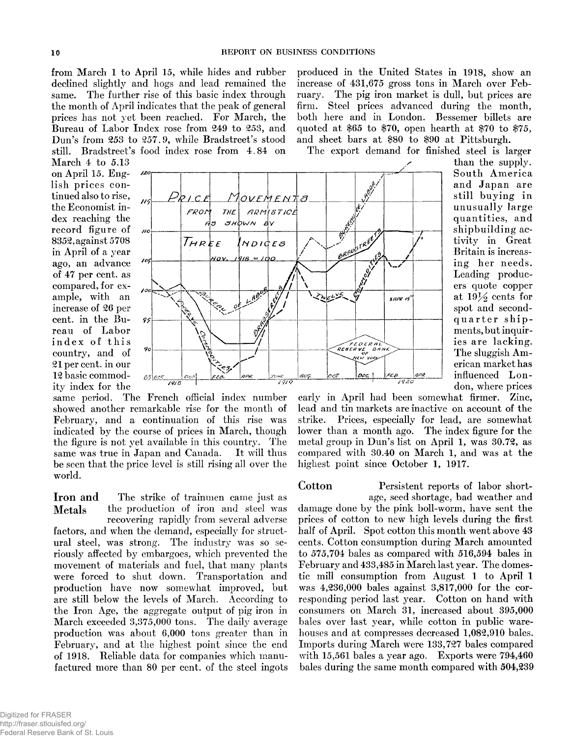from March 1 to April 15, while hides and rubber declined slightly and hogs and lead remained the same. The further rise of this basic index through the month of April indicates that the peak of general prices has not yet been reached. For March, the Bureau of Labor Index rose from 249 to 253, and Dun's from  $253$  to  $257.9$ , while Bradstreet's stood still. Bradstreet's food index rose from 4.84 on produced in the United States in 1918, show an increase of  $431,675$  gross tons in March over February. The pig iron market is dull, but prices are firm. Steel prices advanced during the month, both here and in London. Bessemer billets are quoted at \$65 to \$70, open hearth at \$70 to \$75, and sheet bars at \$80 to \$90 at Pittsburgh.

The export demand for finished steel is larger

March  $4$  to  $5.13$ on April 15. English prices continued also to rise, the Economist index reaching the record figure of 8352, against 5708 in April of a year ago, an advance of 47 per cent, as com pared, for example, with an increase of 26 per cent. in the Bureau of Labor index of this country, and of 21 per cent, in our 12 basic commodity index for the



South America and Japan are still buying in unusually large quantities, and ship building activity in Great Britain is increasing her needs. Leading producers quote copper at  $19\frac{1}{2}$  cents for spot and secondquarter shipments, but inquiries are lacking. The sluggish American m arket has influenced London, where prices

than the supply.

same period. The French official index number showed another remarkable rise for the month of February, and a continuation of this rise was indicated by the course of prices in March, though the figure is not yet available in this country. The same was true in Japan and Canada. It will thus be seen that the price level is still rising all over the world.

Iron and The strike of trainmen came just as Metals the production of iron and steel was recovering rapidly from several adverse factors, and when the demand, especially for structural steel, was strong. The industry was so seriously affected by embargoes, which prevented the movement of materials and fuel, that many plants were forced to shut down. Transportation and production have now somewhat improved, but are still below the levels of March. According to the Iron Age, the aggregate output of pig iron in March exceeded 3,375,000 tons. The daily average production was about  $6,000$  tons greater than in February, and at the highest point since the end of 1918. Reliable data for companies which manufactured more than 80 per cent, of the steel ingots

# Cotton Persistent reports of labor short-

age, seed shortage, bad weather and damage done by the pink boll-worm, have sent the prices of cotton to new high levels during the first half of April. Spot cotton this month went above 43 cents. Cotton consumption during March amounted to  $575,704$  bales as compared with  $516,594$  bales in February and 433,485 in March last year. The domestic mill consumption from August 1 to April 1 was 4,236,000 bales against 3,817,000 for the corresponding period last year. Cotton on hand with consumers on March 31, increased about 395,000 bales over last year, while cotton in public warehouses and at compresses decreased 1,082,910 bales. Imports during March were 133,727 bales compared with  $15,561$  bales a year ago. Exports were  $794,460$ bales during the same month compared with  $504,239$ 

early in April had been somewhat firmer. Zinc, lead and tin markets are inactive on account of the strike. Prices, especially for lead, are somewhat lower than a month ago. The index figure for the metal group in Dun's list on April 1, was 30.72, as compared with 30.40 on March 1, and was at the

highest point since October 1, 1917.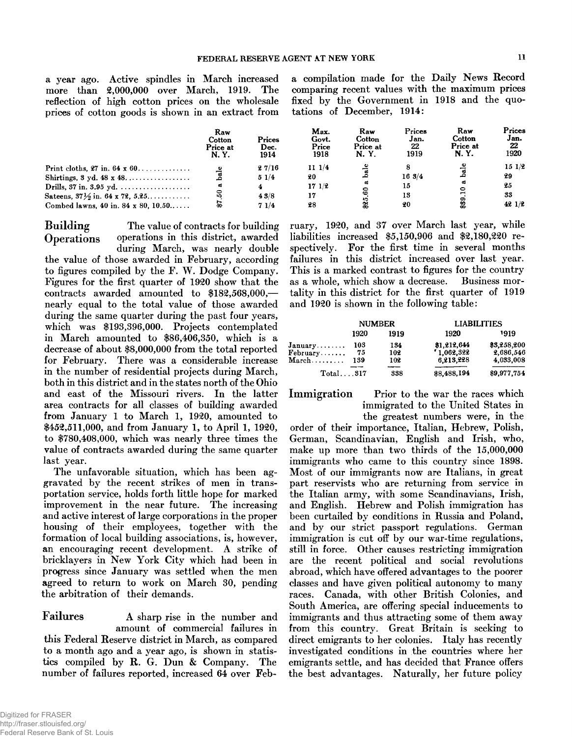a year ago. Active spindles in March increased more than 2,000,000 over March, 1919. The reflection of high cotton prices on the wholesale prices of cotton goods is shown in an extract from a compilation made for the Daily News Record comparing recent values with the maximum prices fixed by the Government in 1918 and the quotations of December, 1914:

|                                                                                                                                                                                           | Raw<br>Cotton<br>Price at<br>N. Y. | <b>Prices</b><br>Dec.<br>1914 | Max.<br>Govt.<br>Price<br>1918   | Raw<br>Cotton<br>Price at<br>N. Y.  | Prices<br>Jan.<br>22<br>1919 | Raw<br>Cotton<br>Price at<br>N. Y.       | Prices<br>Jan.<br>22<br>1920     |
|-------------------------------------------------------------------------------------------------------------------------------------------------------------------------------------------|------------------------------------|-------------------------------|----------------------------------|-------------------------------------|------------------------------|------------------------------------------|----------------------------------|
| Print cloths, $27$ in. $64 \times 60$<br>Shirtings, $3 \text{ yd. } 48 \times 48 \ldots$<br>Satelns, $37\frac{1}{2}$ in. 64 x 72, 5.25<br>Combed lawns. $40$ in. $84 \times 80$ , $10.50$ | அ<br>ದ<br>ន                        | 27/16<br>51/4<br>43/8<br>71/4 | 111/4<br>20<br>171/2<br>17<br>28 | bale<br>ದ<br>$\boldsymbol{60}$<br>Ž | 16.3/4<br>15<br>13<br>20     | ದ<br>$\bullet$<br>$\blacksquare$<br>\$39 | 151/2<br>29<br>25<br>33<br>421/2 |

Building The value of contracts for building Operations operations in this district, awarded

during March, was nearly double the value of those awarded in February, according to figures compiled by the F. W. Dodge Company. Figures for the first quarter of 1920 show that the contracts awarded am ounted to \$182,568,000, nearly equal to the total value of those awarded during the same quarter during the past four years, which was \$193,396,000. Projects contemplated in March amounted to \$86,406,350, which is a decrease of about \$8,000,000 from the total reported for February. There was a considerable increase in the number of residential projects during March, both in this district and in the states north of the Ohio and east of the Missouri rivers. In the latter area contracts for all classes of building awarded from January 1 to March 1, 1920, amounted to \$452,511,000, and from January 1, to April 1, 1920, to  $$780,408,000$ , which was nearly three times the value of contracts awarded during the same quarter last year.

The unfavorable situation, which has been aggravated by the recent strikes of men in transportation service, holds forth little hope for marked improvement in the near future. The increasing and active interest of large corporations in the proper housing of their employees, together with the formation of local building associations, is, however, an encouraging recent development. A strike of bricklayers in New York City which had been in progress since January was settled when the men agreed to return to work on March 30, pending the arbitration of their demands.

Failures A sharp rise in the number and amount of commercial failures in this Federal Reserve district in March, as compared to a month ago and a year ago, is shown in statistics compiled by  $R$ . G. Dun & Company. The number of failures reported, increased 64 over February, 1920, and 37 over March last year, while liabilities increased \$5,150,906 and \$2,180,220 respectively. For the first time in several months failures in this district increased over last year. This is a marked contrast to figures for the country as a whole, which show a decrease. Business mortality in this district for the first quarter of 1919 and 1920 is shown in the following table:

|                                 | <b>NUMBER</b> |      | <b>LIABILITIES</b> |             |
|---------------------------------|---------------|------|--------------------|-------------|
|                                 | 1920          | 1919 | 1920               | 1919        |
| $January \ldots$                | 103           | 134  | \$1,212,644        | \$3,258,200 |
| February                        | 75            | 102  | "1.062,322"        | 2,686,546   |
| $\mathbf{March}\dots\dots\dots$ | 139           | 102  | 6.213.228          | 4.033.008   |
| $Total \dots 317$               |               | 338  | \$8,488,194        | \$9,977,754 |

Immigration Prior to the war the races which im migrated to the United States in the greatest numbers were, in the

order of their importance, Italian, Hebrew, Polish, German, Scandinavian, English and Irish, who, make up more than two thirds of the  $15,000,000$ immigrants who came to this country since 1898. Most of our immigrants now are Italians, in great part reservists who are returning from service in the Italian army, with some Scandinavians, Irish, and English. Hebrew and Polish immigration has been curtailed by conditions in Russia and Poland, and by our strict passport regulations. German immigration is cut off by our war-time regulations, still in force. Other causes restricting immigration are the recent political and social revolutions abroad, w hich have offered advantages to the poorer classes and have given political autonomy to many races. Canada, with other British Colonies, and South America, are offering special inducements to immigrants and thus attracting some of them away from this country. Great Britain is seeking to direct emigrants to her colonies. Italy has recently investigated conditions in the countries where her em igrants settle, and has decided that France offers the best advantages. Naturally, her future policy